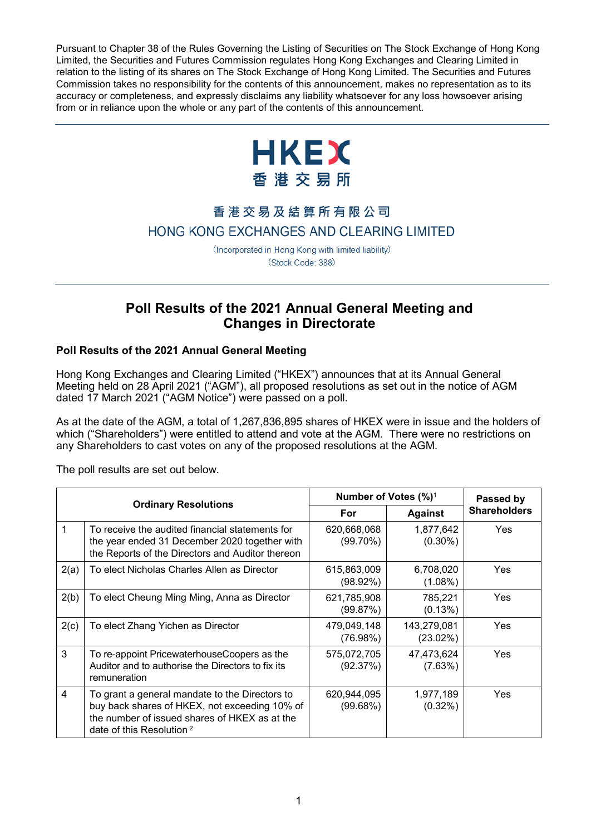Pursuant to Chapter 38 of the Rules Governing the Listing of Securities on The Stock Exchange of Hong Kong Limited, the Securities and Futures Commission regulates Hong Kong Exchanges and Clearing Limited in relation to the listing of its shares on The Stock Exchange of Hong Kong Limited. The Securities and Futures Commission takes no responsibility for the contents of this announcement, makes no representation as to its accuracy or completeness, and expressly disclaims any liability whatsoever for any loss howsoever arising from or in reliance upon the whole or any part of the contents of this announcement.



# 香港交易及結算所有限公司 HONG KONG EXCHANGES AND CLEARING LIMITED

(Incorporated in Hong Kong with limited liability) (Stock Code: 388)

## **Poll Results of the 2021 Annual General Meeting and Changes in Directorate**

## **Poll Results of the 2021 Annual General Meeting**

Hong Kong Exchanges and Clearing Limited ("HKEX") announces that at its Annual General Meeting held on 28 April 2021 ("AGM"), all proposed resolutions as set out in the notice of AGM dated 17 March 2021 ("AGM Notice") were passed on a poll.

As at the date of the AGM, a total of 1,267,836,895 shares of HKEX were in issue and the holders of which ("Shareholders") were entitled to attend and vote at the AGM. There were no restrictions on any Shareholders to cast votes on any of the proposed resolutions at the AGM.

The poll results are set out below.

|      | <b>Ordinary Resolutions</b>                                                                                                                                                     | Number of Votes $(\%)^1$   | Passed by               |                     |
|------|---------------------------------------------------------------------------------------------------------------------------------------------------------------------------------|----------------------------|-------------------------|---------------------|
|      |                                                                                                                                                                                 | For                        | <b>Against</b>          | <b>Shareholders</b> |
| 1    | To receive the audited financial statements for<br>the year ended 31 December 2020 together with<br>the Reports of the Directors and Auditor thereon                            | 620,668,068<br>$(99.70\%)$ | 1,877,642<br>$(0.30\%)$ | <b>Yes</b>          |
| 2(a) | To elect Nicholas Charles Allen as Director                                                                                                                                     | 615,863,009<br>$(98.92\%)$ | 6,708,020<br>$(1.08\%)$ | Yes                 |
| 2(b) | To elect Cheung Ming Ming, Anna as Director                                                                                                                                     | 621,785,908<br>(99.87%)    | 785,221<br>(0.13%)      | Yes                 |
| 2(c) | To elect Zhang Yichen as Director                                                                                                                                               | 479,049,148<br>(76.98%)    | 143,279,081<br>(23.02%) | <b>Yes</b>          |
| 3    | To re-appoint PricewaterhouseCoopers as the<br>Auditor and to authorise the Directors to fix its<br>remuneration                                                                | 575,072,705<br>(92.37%)    | 47,473,624<br>(7.63%)   | <b>Yes</b>          |
| 4    | To grant a general mandate to the Directors to<br>buy back shares of HKEX, not exceeding 10% of<br>the number of issued shares of HKEX as at the<br>date of this Resolution $2$ | 620,944,095<br>(99.68%)    | 1,977,189<br>$(0.32\%)$ | <b>Yes</b>          |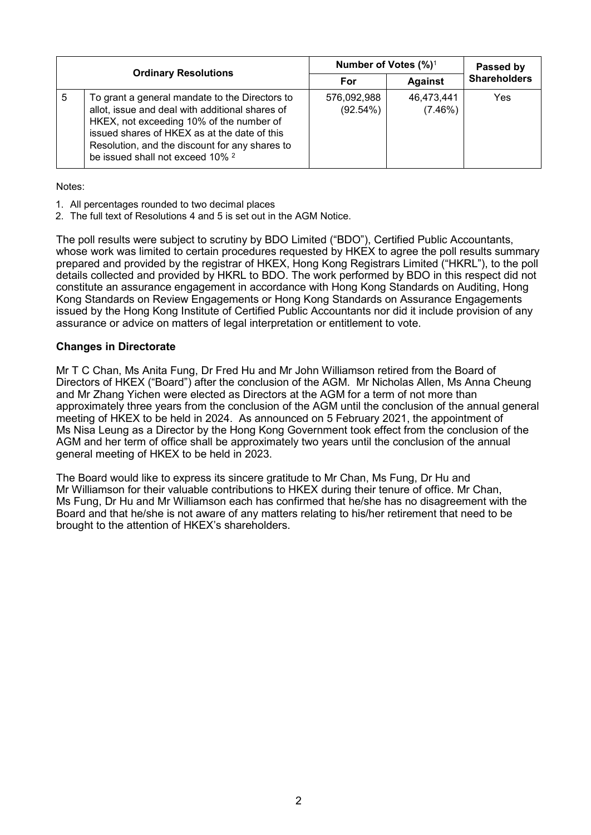|   |                                                                                                                                                                                                                                                                                                | Number of Votes (%) <sup>1</sup> | Passed by             |                     |
|---|------------------------------------------------------------------------------------------------------------------------------------------------------------------------------------------------------------------------------------------------------------------------------------------------|----------------------------------|-----------------------|---------------------|
|   | <b>Ordinary Resolutions</b>                                                                                                                                                                                                                                                                    | For                              | <b>Against</b>        | <b>Shareholders</b> |
| 5 | To grant a general mandate to the Directors to<br>allot, issue and deal with additional shares of<br>HKEX, not exceeding 10% of the number of<br>issued shares of HKEX as at the date of this<br>Resolution, and the discount for any shares to<br>be issued shall not exceed 10% <sup>2</sup> | 576,092,988<br>(92.54%)          | 46,473,441<br>(7.46%) | Yes                 |

Notes:

- 1. All percentages rounded to two decimal places
- 2. The full text of Resolutions 4 and 5 is set out in the AGM Notice.

The poll results were subject to scrutiny by BDO Limited ("BDO"), Certified Public Accountants, whose work was limited to certain procedures requested by HKEX to agree the poll results summary prepared and provided by the registrar of HKEX, Hong Kong Registrars Limited ("HKRL"), to the poll details collected and provided by HKRL to BDO. The work performed by BDO in this respect did not constitute an assurance engagement in accordance with Hong Kong Standards on Auditing, Hong Kong Standards on Review Engagements or Hong Kong Standards on Assurance Engagements issued by the Hong Kong Institute of Certified Public Accountants nor did it include provision of any assurance or advice on matters of legal interpretation or entitlement to vote.

#### **Changes in Directorate**

Mr T C Chan, Ms Anita Fung, Dr Fred Hu and Mr John Williamson retired from the Board of Directors of HKEX ("Board") after the conclusion of the AGM. Mr Nicholas Allen, Ms Anna Cheung and Mr Zhang Yichen were elected as Directors at the AGM for a term of not more than approximately three years from the conclusion of the AGM until the conclusion of the annual general meeting of HKEX to be held in 2024. As announced on 5 February 2021, the appointment of Ms Nisa Leung as a Director by the Hong Kong Government took effect from the conclusion of the AGM and her term of office shall be approximately two years until the conclusion of the annual general meeting of HKEX to be held in 2023.

The Board would like to express its sincere gratitude to Mr Chan, Ms Fung, Dr Hu and Mr Williamson for their valuable contributions to HKEX during their tenure of office. Mr Chan, Ms Fung, Dr Hu and Mr Williamson each has confirmed that he/she has no disagreement with the Board and that he/she is not aware of any matters relating to his/her retirement that need to be brought to the attention of HKEX's shareholders.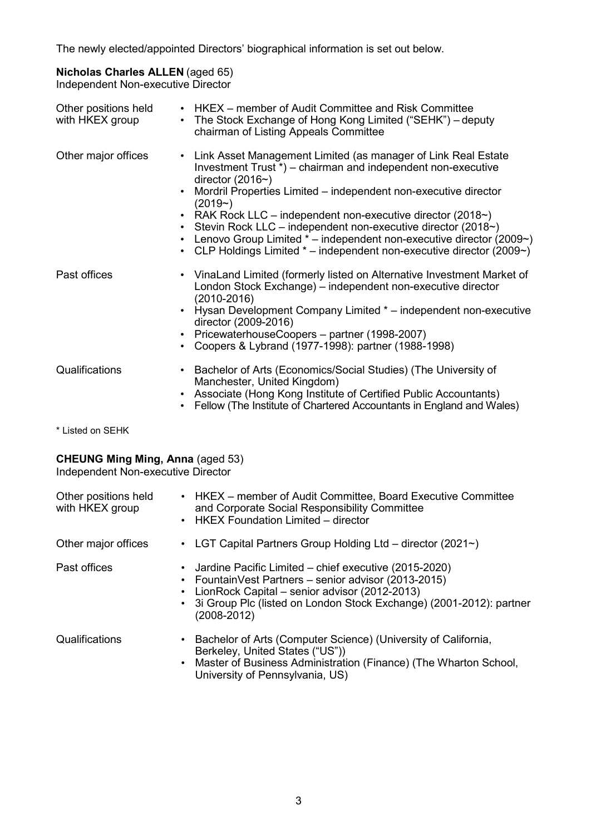The newly elected/appointed Directors' biographical information is set out below.

## **Nicholas Charles ALLEN** (aged 65)

Independent Non-executive Director

| Other positions held<br>with HKEX group | • HKEX – member of Audit Committee and Risk Committee<br>• The Stock Exchange of Hong Kong Limited ("SEHK") – deputy<br>chairman of Listing Appeals Committee                                                                                                                                                                                                                                                                                                                                                                                      |
|-----------------------------------------|----------------------------------------------------------------------------------------------------------------------------------------------------------------------------------------------------------------------------------------------------------------------------------------------------------------------------------------------------------------------------------------------------------------------------------------------------------------------------------------------------------------------------------------------------|
| Other major offices                     | Link Asset Management Limited (as manager of Link Real Estate<br>$\bullet$<br>Investment Trust *) – chairman and independent non-executive<br>director (2016 $\sim$ )<br>Mordril Properties Limited – independent non-executive director<br>$(2019-)$<br>• RAK Rock LLC – independent non-executive director $(2018\gamma)$<br>Stevin Rock LLC - independent non-executive director (2018~)<br>Lenovo Group Limited $*$ – independent non-executive director (2009 $\sim$ )<br>CLP Holdings Limited * - independent non-executive director (2009~) |
| Past offices                            | • VinaLand Limited (formerly listed on Alternative Investment Market of<br>London Stock Exchange) – independent non-executive director<br>$(2010 - 2016)$<br>Hysan Development Company Limited * – independent non-executive<br>director (2009-2016)<br>• PricewaterhouseCoopers - partner (1998-2007)<br>Coopers & Lybrand (1977-1998): partner (1988-1998)                                                                                                                                                                                       |
| Qualifications                          | Bachelor of Arts (Economics/Social Studies) (The University of<br>$\bullet$<br>Manchester, United Kingdom)<br>Associate (Hong Kong Institute of Certified Public Accountants)<br>$\bullet$<br>Fellow (The Institute of Chartered Accountants in England and Wales)                                                                                                                                                                                                                                                                                 |

\* Listed on SEHK

## **CHEUNG Ming Ming, Anna** (aged 53)

Independent Non-executive Director

| Other positions held<br>with HKEX group |                        | • HKEX – member of Audit Committee, Board Executive Committee<br>and Corporate Social Responsibility Committee<br>• HKEX Foundation Limited – director                                                                                                     |
|-----------------------------------------|------------------------|------------------------------------------------------------------------------------------------------------------------------------------------------------------------------------------------------------------------------------------------------------|
| Other major offices                     | $\bullet$              | LGT Capital Partners Group Holding Ltd - director (2021~)                                                                                                                                                                                                  |
| Past offices                            | $\bullet$              | Jardine Pacific Limited – chief executive (2015-2020)<br>• FountainVest Partners – senior advisor (2013-2015)<br>LionRock Capital - senior advisor (2012-2013)<br>• 3i Group Plc (listed on London Stock Exchange) (2001-2012): partner<br>$(2008 - 2012)$ |
| Qualifications                          | $\bullet$<br>$\bullet$ | Bachelor of Arts (Computer Science) (University of California,<br>Berkeley, United States ("US"))<br>Master of Business Administration (Finance) (The Wharton School,<br>University of Pennsylvania, US)                                                   |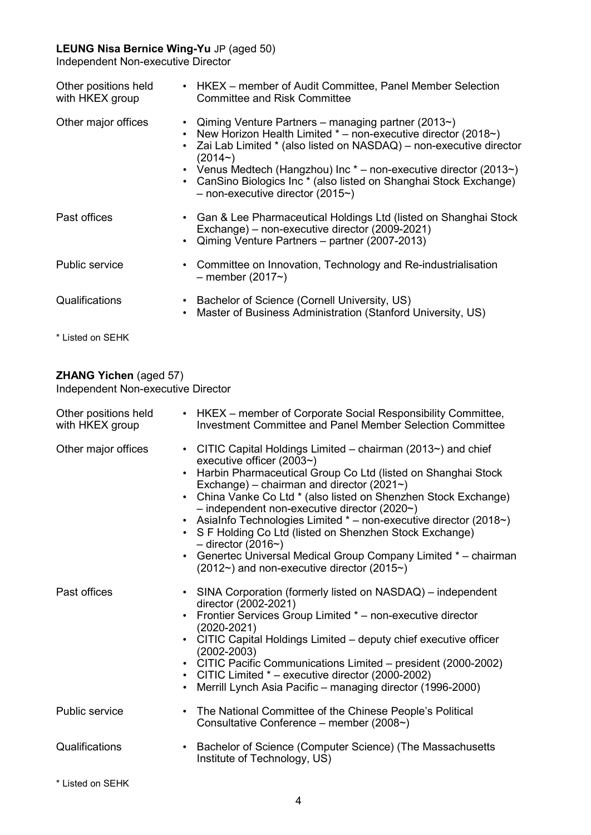## **LEUNG Nisa Bernice Wing-Yu** JP (aged 50)

Independent Non-executive Director

| Other positions held<br>with HKEX group | • HKEX – member of Audit Committee, Panel Member Selection<br><b>Committee and Risk Committee</b>                                                                                                                                                                                                                                                                                                      |
|-----------------------------------------|--------------------------------------------------------------------------------------------------------------------------------------------------------------------------------------------------------------------------------------------------------------------------------------------------------------------------------------------------------------------------------------------------------|
| Other major offices                     | • Qiming Venture Partners - managing partner (2013~)<br>• New Horizon Health Limited $*$ – non-executive director (2018 $\sim$ )<br>Zai Lab Limited * (also listed on NASDAQ) - non-executive director<br>$(2014-)$<br>• Venus Medtech (Hangzhou) Inc $*$ – non-executive director (2013~)<br>• CanSino Biologics Inc * (also listed on Shanghai Stock Exchange)<br>$-$ non-executive director (2015~) |
| Past offices                            | • Gan & Lee Pharmaceutical Holdings Ltd (listed on Shanghai Stock<br>Exchange) – non-executive director (2009-2021)<br>• Qiming Venture Partners – partner (2007-2013)                                                                                                                                                                                                                                 |
| <b>Public service</b>                   | Committee on Innovation, Technology and Re-industrialisation<br>$-$ member (2017 $\sim$ )                                                                                                                                                                                                                                                                                                              |
| Qualifications                          | Bachelor of Science (Cornell University, US)<br>Master of Business Administration (Stanford University, US)                                                                                                                                                                                                                                                                                            |

\* Listed on SEHK

## **ZHANG Yichen** (aged 57)

Independent Non-executive Director

| Other positions held<br>with HKEX group | • HKEX – member of Corporate Social Responsibility Committee,<br><b>Investment Committee and Panel Member Selection Committee</b>                                                                                                                                                                                                                                                                                                                                                                                                                                                                                                                |
|-----------------------------------------|--------------------------------------------------------------------------------------------------------------------------------------------------------------------------------------------------------------------------------------------------------------------------------------------------------------------------------------------------------------------------------------------------------------------------------------------------------------------------------------------------------------------------------------------------------------------------------------------------------------------------------------------------|
| Other major offices                     | • CITIC Capital Holdings Limited – chairman (2013~) and chief<br>executive officer $(2003\text{~})$<br>• Harbin Pharmaceutical Group Co Ltd (listed on Shanghai Stock<br>Exchange) – chairman and director (2021 $\sim$ )<br>• China Vanke Co Ltd * (also listed on Shenzhen Stock Exchange)<br>$-$ independent non-executive director (2020 $\sim$ )<br>• AsiaInfo Technologies Limited * - non-executive director (2018~)<br>• S F Holding Co Ltd (listed on Shenzhen Stock Exchange)<br>$-$ director (2016~)<br>• Genertec Universal Medical Group Company Limited * - chairman<br>$(2012\gamma)$ and non-executive director (2015 $\gamma$ ) |
| Past offices                            | • SINA Corporation (formerly listed on NASDAQ) – independent<br>director (2002-2021)<br>• Frontier Services Group Limited * - non-executive director<br>$(2020 - 2021)$<br>• CITIC Capital Holdings Limited - deputy chief executive officer<br>$(2002 - 2003)$<br>• CITIC Pacific Communications Limited - president (2000-2002)<br>• CITIC Limited $*$ – executive director (2000-2002)<br>Merrill Lynch Asia Pacific - managing director (1996-2000)                                                                                                                                                                                          |
| <b>Public service</b>                   | • The National Committee of the Chinese People's Political<br>Consultative Conference - member (2008~)                                                                                                                                                                                                                                                                                                                                                                                                                                                                                                                                           |
| Qualifications                          | Bachelor of Science (Computer Science) (The Massachusetts<br>$\bullet$<br>Institute of Technology, US)                                                                                                                                                                                                                                                                                                                                                                                                                                                                                                                                           |

\* Listed on SEHK